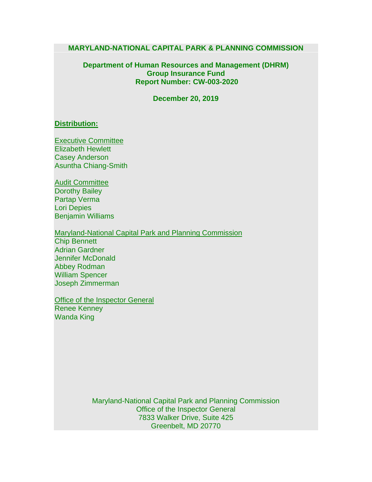#### **MARYLAND-NATIONAL CAPITAL PARK & PLANNING COMMISSION**

#### **Department of Human Resources and Management (DHRM) Group Insurance Fund Report Number: CW-003-2020**

**December 20, 2019**

#### **Distribution:**

Executive Committee Elizabeth Hewlett Casey Anderson Asuntha Chiang-Smith

Audit Committee Dorothy Bailey Partap Verma Lori Depies Benjamin Williams

Maryland-National Capital Park and Planning Commission Chip Bennett Adrian Gardner Jennifer McDonald Abbey Rodman William Spencer Joseph Zimmerman

**Office of the Inspector General** Renee Kenney Wanda King

> Maryland-National Capital Park and Planning Commission Office of the Inspector General 7833 Walker Drive, Suite 425 Greenbelt, MD 20770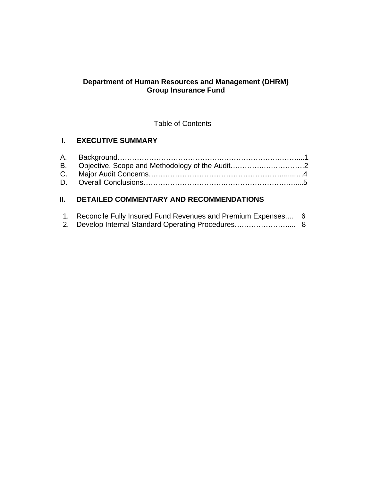### **Department of Human Resources and Management (DHRM) Group Insurance Fund**

Table of Contents

# **I. EXECUTIVE SUMMARY**

# **II. DETAILED COMMENTARY AND RECOMMENDATIONS**

| 1. Reconcile Fully Insured Fund Revenues and Premium Expenses 6 |  |
|-----------------------------------------------------------------|--|
|                                                                 |  |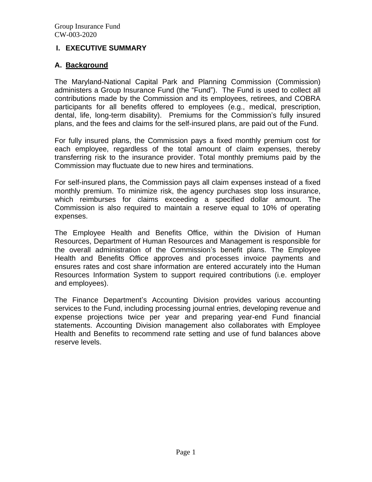### **I. EXECUTIVE SUMMARY**

### **A. Background**

The Maryland-National Capital Park and Planning Commission (Commission) administers a Group Insurance Fund (the "Fund"). The Fund is used to collect all contributions made by the Commission and its employees, retirees, and COBRA participants for all benefits offered to employees (e.g., medical, prescription, dental, life, long-term disability). Premiums for the Commission's fully insured plans, and the fees and claims for the self-insured plans, are paid out of the Fund.

For fully insured plans, the Commission pays a fixed monthly premium cost for each employee, regardless of the total amount of claim expenses, thereby transferring risk to the insurance provider. Total monthly premiums paid by the Commission may fluctuate due to new hires and terminations.

For self-insured plans, the Commission pays all claim expenses instead of a fixed monthly premium. To minimize risk, the agency purchases stop loss insurance, which reimburses for claims exceeding a specified dollar amount. The Commission is also required to maintain a reserve equal to 10% of operating expenses.

The Employee Health and Benefits Office, within the Division of Human Resources, Department of Human Resources and Management is responsible for the overall administration of the Commission's benefit plans. The Employee Health and Benefits Office approves and processes invoice payments and ensures rates and cost share information are entered accurately into the Human Resources Information System to support required contributions (i.e. employer and employees).

The Finance Department's Accounting Division provides various accounting services to the Fund, including processing journal entries, developing revenue and expense projections twice per year and preparing year-end Fund financial statements. Accounting Division management also collaborates with Employee Health and Benefits to recommend rate setting and use of fund balances above reserve levels.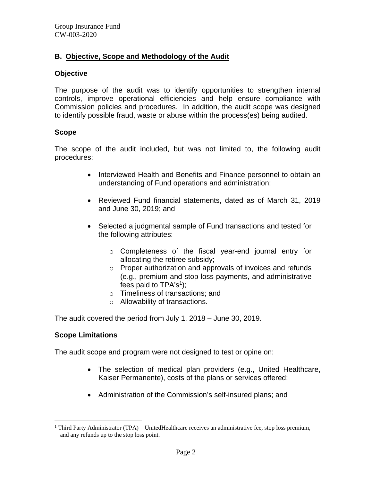# **B. Objective, Scope and Methodology of the Audit**

#### **Objective**

The purpose of the audit was to identify opportunities to strengthen internal controls, improve operational efficiencies and help ensure compliance with Commission policies and procedures. In addition, the audit scope was designed to identify possible fraud, waste or abuse within the process(es) being audited.

### **Scope**

The scope of the audit included, but was not limited to, the following audit procedures:

- Interviewed Health and Benefits and Finance personnel to obtain an understanding of Fund operations and administration;
- Reviewed Fund financial statements, dated as of March 31, 2019 and June 30, 2019; and
- Selected a judgmental sample of Fund transactions and tested for the following attributes:
	- o Completeness of the fiscal year-end journal entry for allocating the retiree subsidy;
	- o Proper authorization and approvals of invoices and refunds (e.g., premium and stop loss payments, and administrative fees paid to TPA's<sup>1</sup>);
	- o Timeliness of transactions; and
	- o Allowability of transactions.

The audit covered the period from July 1, 2018 – June 30, 2019.

# **Scope Limitations**

The audit scope and program were not designed to test or opine on:

- The selection of medical plan providers (e.g., United Healthcare, Kaiser Permanente), costs of the plans or services offered;
- Administration of the Commission's self-insured plans; and

<sup>&</sup>lt;sup>1</sup> Third Party Administrator (TPA) – UnitedHealthcare receives an administrative fee, stop loss premium, and any refunds up to the stop loss point.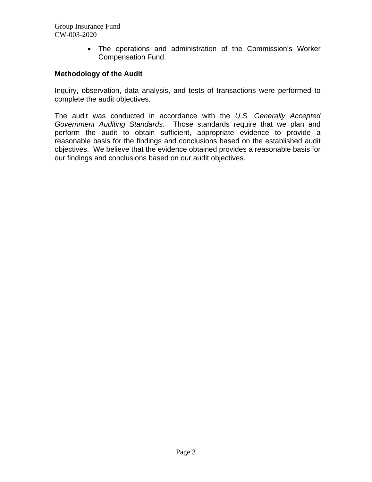> • The operations and administration of the Commission's Worker Compensation Fund.

#### **Methodology of the Audit**

Inquiry, observation, data analysis, and tests of transactions were performed to complete the audit objectives.

The audit was conducted in accordance with the *U.S. Generally Accepted Government Auditing Standards*. Those standards require that we plan and perform the audit to obtain sufficient, appropriate evidence to provide a reasonable basis for the findings and conclusions based on the established audit objectives. We believe that the evidence obtained provides a reasonable basis for our findings and conclusions based on our audit objectives.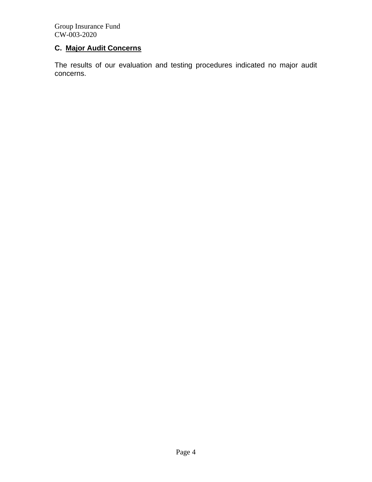# **C. Major Audit Concerns**

The results of our evaluation and testing procedures indicated no major audit concerns.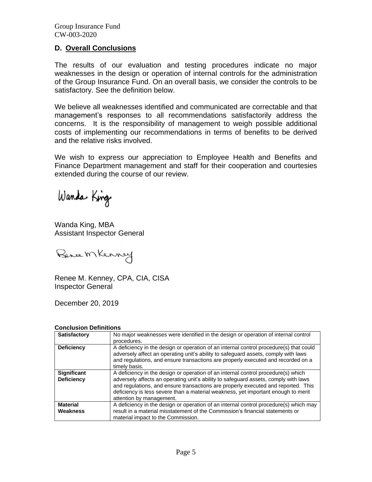#### **D. Overall Conclusions**

The results of our evaluation and testing procedures indicate no major weaknesses in the design or operation of internal controls for the administration of the Group Insurance Fund. On an overall basis, we consider the controls to be satisfactory. See the definition below.

We believe all weaknesses identified and communicated are correctable and that management's responses to all recommendations satisfactorily address the concerns. It is the responsibility of management to weigh possible additional costs of implementing our recommendations in terms of benefits to be derived and the relative risks involved.

We wish to express our appreciation to Employee Health and Benefits and Finance Department management and staff for their cooperation and courtesies extended during the course of our review.

Wanda King

Wanda King, MBA Assistant Inspector General

Bence Mkenney

Renee M. Kenney, CPA, CIA, CISA Inspector General

December 20, 2019

#### **Conclusion Definitions**

| <b>Satisfactory</b>                     | No major weaknesses were identified in the design or operation of internal control<br>procedures.                                                                                                                                                                                                                                                                              |  |  |
|-----------------------------------------|--------------------------------------------------------------------------------------------------------------------------------------------------------------------------------------------------------------------------------------------------------------------------------------------------------------------------------------------------------------------------------|--|--|
| <b>Deficiency</b>                       | A deficiency in the design or operation of an internal control procedure(s) that could<br>adversely affect an operating unit's ability to safeguard assets, comply with laws<br>and regulations, and ensure transactions are properly executed and recorded on a<br>timely basis.                                                                                              |  |  |
| <b>Significant</b><br><b>Deficiency</b> | A deficiency in the design or operation of an internal control procedure(s) which<br>adversely affects an operating unit's ability to safeguard assets, comply with laws<br>and regulations, and ensure transactions are properly executed and reported. This<br>deficiency is less severe than a material weakness, yet important enough to merit<br>attention by management. |  |  |
| <b>Material</b><br>Weakness             | A deficiency in the design or operation of an internal control procedure(s) which may<br>result in a material misstatement of the Commission's financial statements or<br>material impact to the Commission.                                                                                                                                                                   |  |  |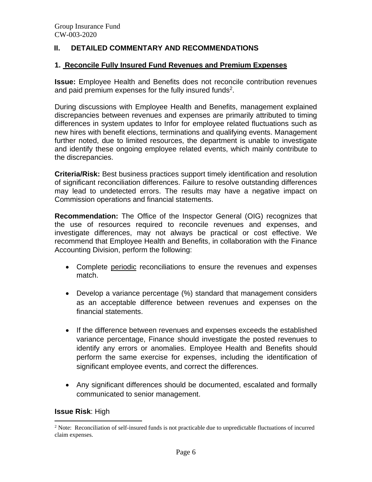# **II. DETAILED COMMENTARY AND RECOMMENDATIONS**

#### **1. Reconcile Fully Insured Fund Revenues and Premium Expenses**

**Issue:** Employee Health and Benefits does not reconcile contribution revenues and paid premium expenses for the fully insured funds<sup>2</sup>.

During discussions with Employee Health and Benefits, management explained discrepancies between revenues and expenses are primarily attributed to timing differences in system updates to Infor for employee related fluctuations such as new hires with benefit elections, terminations and qualifying events. Management further noted, due to limited resources, the department is unable to investigate and identify these ongoing employee related events, which mainly contribute to the discrepancies.

**Criteria/Risk:** Best business practices support timely identification and resolution of significant reconciliation differences. Failure to resolve outstanding differences may lead to undetected errors. The results may have a negative impact on Commission operations and financial statements.

**Recommendation:** The Office of the Inspector General (OIG) recognizes that the use of resources required to reconcile revenues and expenses, and investigate differences, may not always be practical or cost effective. We recommend that Employee Health and Benefits, in collaboration with the Finance Accounting Division, perform the following:

- Complete periodic reconciliations to ensure the revenues and expenses match.
- Develop a variance percentage (%) standard that management considers as an acceptable difference between revenues and expenses on the financial statements.
- If the difference between revenues and expenses exceeds the established variance percentage, Finance should investigate the posted revenues to identify any errors or anomalies. Employee Health and Benefits should perform the same exercise for expenses, including the identification of significant employee events, and correct the differences.
- Any significant differences should be documented, escalated and formally communicated to senior management.

#### **Issue Risk**: High

<sup>&</sup>lt;sup>2</sup> Note: Reconciliation of self-insured funds is not practicable due to unpredictable fluctuations of incurred claim expenses.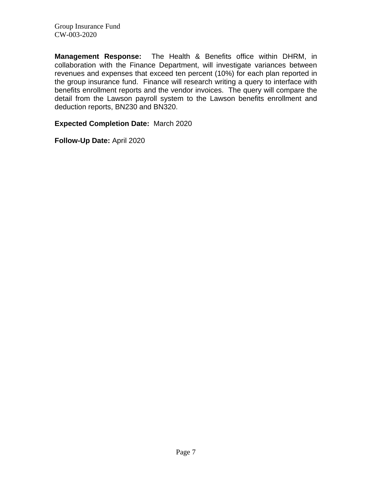**Management Response:** The Health & Benefits office within DHRM, in collaboration with the Finance Department, will investigate variances between revenues and expenses that exceed ten percent (10%) for each plan reported in the group insurance fund. Finance will research writing a query to interface with benefits enrollment reports and the vendor invoices. The query will compare the detail from the Lawson payroll system to the Lawson benefits enrollment and deduction reports, BN230 and BN320.

**Expected Completion Date:** March 2020

**Follow-Up Date:** April 2020